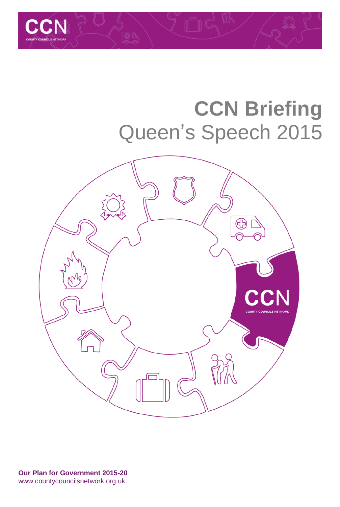

# **CCN Briefing**  Queen's Speech 2015

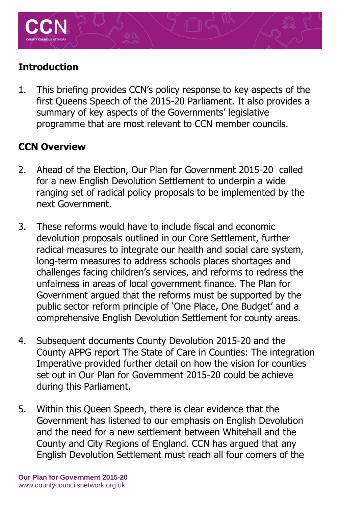

# **Introduction**

1. This briefing provides CCN's policy response to key aspects of the first Queens Speech of the 2015-20 Parliament. It also provides a summary of key aspects of the Governments' legislative programme that are most relevant to CCN member councils.

# **CCN Overview**

- 2. Ahead of the Election, Our Plan for Government 2015-20 called for a new English Devolution Settlement to underpin a wide ranging set of radical policy proposals to be implemented by the next Government.
- 3. These reforms would have to include fiscal and economic devolution proposals outlined in our Core Settlement, further radical measures to integrate our health and social care system, long-term measures to address schools places shortages and challenges facing children's services, and reforms to redress the unfairness in areas of local government finance. The Plan for Government argued that the reforms must be supported by the public sector reform principle of 'One Place, One Budget' and a comprehensive English Devolution Settlement for county areas.
- 4. Subsequent documents County Devolution 2015-20 and the County APPG report The State of Care in Counties: The integration Imperative provided further detail on how the vision for counties set out in Our Plan for Government 2015-20 could be achieve during this Parliament.
- 5. Within this Queen Speech, there is clear evidence that the Government has listened to our emphasis on English Devolution and the need for a new settlement between Whitehall and the County and City Regions of England. CCN has argued that any English Devolution Settlement must reach all four corners of the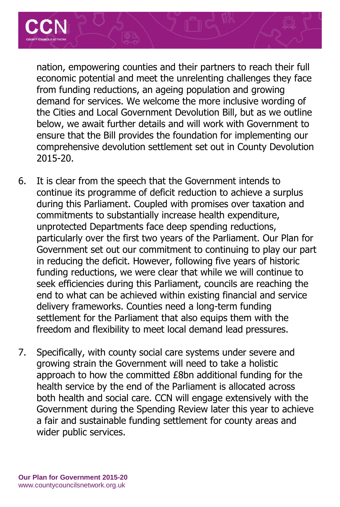

nation, empowering counties and their partners to reach their full economic potential and meet the unrelenting challenges they face from funding reductions, an ageing population and growing demand for services. We welcome the more inclusive wording of the Cities and Local Government Devolution Bill, but as we outline below, we await further details and will work with Government to ensure that the Bill provides the foundation for implementing our comprehensive devolution settlement set out in County Devolution 2015-20.

- 6. It is clear from the speech that the Government intends to continue its programme of deficit reduction to achieve a surplus during this Parliament. Coupled with promises over taxation and commitments to substantially increase health expenditure, unprotected Departments face deep spending reductions, particularly over the first two years of the Parliament. Our Plan for Government set out our commitment to continuing to play our part in reducing the deficit. However, following five years of historic funding reductions, we were clear that while we will continue to seek efficiencies during this Parliament, councils are reaching the end to what can be achieved within existing financial and service delivery frameworks. Counties need a long-term funding settlement for the Parliament that also equips them with the freedom and flexibility to meet local demand lead pressures.
- 7. Specifically, with county social care systems under severe and growing strain the Government will need to take a holistic approach to how the committed £8bn additional funding for the health service by the end of the Parliament is allocated across both health and social care. CCN will engage extensively with the Government during the Spending Review later this year to achieve a fair and sustainable funding settlement for county areas and wider public services.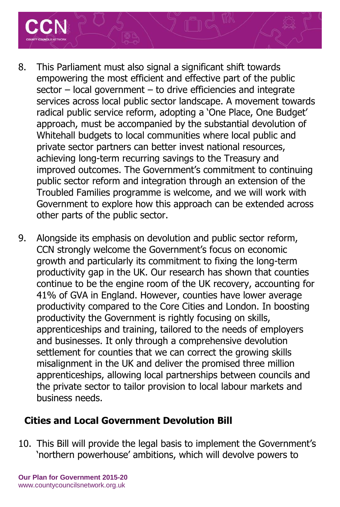

- 8. This Parliament must also signal a significant shift towards empowering the most efficient and effective part of the public sector – local government – to drive efficiencies and integrate services across local public sector landscape. A movement towards radical public service reform, adopting a 'One Place, One Budget' approach, must be accompanied by the substantial devolution of Whitehall budgets to local communities where local public and private sector partners can better invest national resources, achieving long-term recurring savings to the Treasury and improved outcomes. The Government's commitment to continuing public sector reform and integration through an extension of the Troubled Families programme is welcome, and we will work with Government to explore how this approach can be extended across other parts of the public sector.
- 9. Alongside its emphasis on devolution and public sector reform, CCN strongly welcome the Government's focus on economic growth and particularly its commitment to fixing the long-term productivity gap in the UK. Our research has shown that counties continue to be the engine room of the UK recovery, accounting for 41% of GVA in England. However, counties have lower average productivity compared to the Core Cities and London. In boosting productivity the Government is rightly focusing on skills, apprenticeships and training, tailored to the needs of employers and businesses. It only through a comprehensive devolution settlement for counties that we can correct the growing skills misalignment in the UK and deliver the promised three million apprenticeships, allowing local partnerships between councils and the private sector to tailor provision to local labour markets and business needs.

# **Cities and Local Government Devolution Bill**

10. This Bill will provide the legal basis to implement the Government's 'northern powerhouse' ambitions, which will devolve powers to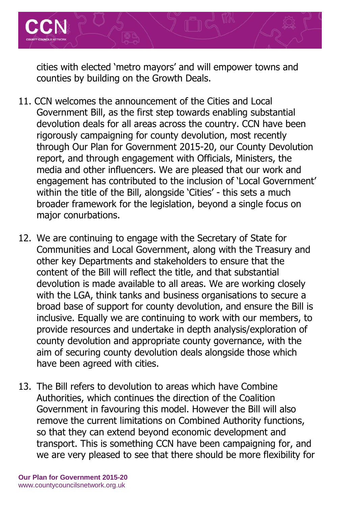

cities with elected 'metro mayors' and will empower towns and counties by building on the Growth Deals.

- 11. CCN welcomes the announcement of the Cities and Local Government Bill, as the first step towards enabling substantial devolution deals for all areas across the country. CCN have been rigorously campaigning for county devolution, most recently through Our Plan for Government 2015-20, our County Devolution report, and through engagement with Officials, Ministers, the media and other influencers. We are pleased that our work and engagement has contributed to the inclusion of 'Local Government' within the title of the Bill, alongside 'Cities' - this sets a much broader framework for the legislation, beyond a single focus on major conurbations.
- 12. We are continuing to engage with the Secretary of State for Communities and Local Government, along with the Treasury and other key Departments and stakeholders to ensure that the content of the Bill will reflect the title, and that substantial devolution is made available to all areas. We are working closely with the LGA, think tanks and business organisations to secure a broad base of support for county devolution, and ensure the Bill is inclusive. Equally we are continuing to work with our members, to provide resources and undertake in depth analysis/exploration of county devolution and appropriate county governance, with the aim of securing county devolution deals alongside those which have been agreed with cities.
- 13. The Bill refers to devolution to areas which have Combine Authorities, which continues the direction of the Coalition Government in favouring this model. However the Bill will also remove the current limitations on Combined Authority functions, so that they can extend beyond economic development and transport. This is something CCN have been campaigning for, and we are very pleased to see that there should be more flexibility for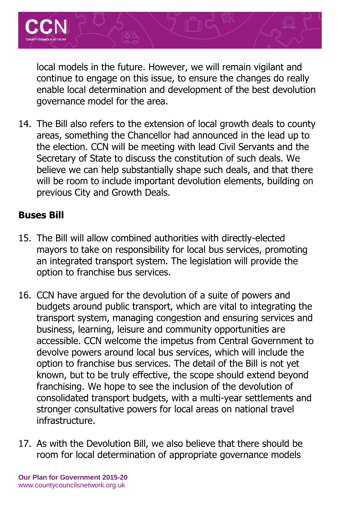

local models in the future. However, we will remain vigilant and continue to engage on this issue, to ensure the changes do really enable local determination and development of the best devolution governance model for the area.

14. The Bill also refers to the extension of local growth deals to county areas, something the Chancellor had announced in the lead up to the election. CCN will be meeting with lead Civil Servants and the Secretary of State to discuss the constitution of such deals. We believe we can help substantially shape such deals, and that there will be room to include important devolution elements, building on previous City and Growth Deals.

### **Buses Bill**

- 15. The Bill will allow combined authorities with directly-elected mayors to take on responsibility for local bus services, promoting an integrated transport system. The legislation will provide the option to franchise bus services.
- 16. CCN have argued for the devolution of a suite of powers and budgets around public transport, which are vital to integrating the transport system, managing congestion and ensuring services and business, learning, leisure and community opportunities are accessible. CCN welcome the impetus from Central Government to devolve powers around local bus services, which will include the option to franchise bus services. The detail of the Bill is not yet known, but to be truly effective, the scope should extend beyond franchising. We hope to see the inclusion of the devolution of consolidated transport budgets, with a multi-year settlements and stronger consultative powers for local areas on national travel infrastructure.
- 17. As with the Devolution Bill, we also believe that there should be room for local determination of appropriate governance models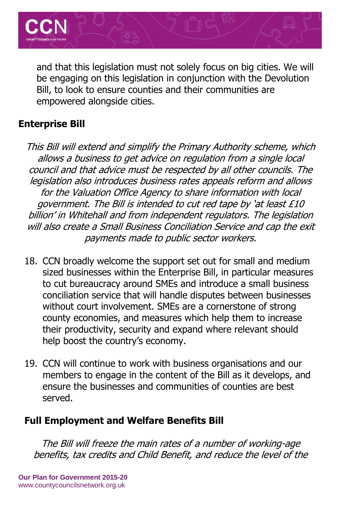

and that this legislation must not solely focus on big cities. We will be engaging on this legislation in conjunction with the Devolution Bill, to look to ensure counties and their communities are empowered alongside cities.

#### **Enterprise Bill**

This Bill will extend and simplify the Primary Authority scheme, which allows a business to get advice on regulation from a single local council and that advice must be respected by all other councils. The legislation also introduces business rates appeals reform and allows for the Valuation Office Agency to share information with local government. The Bill is intended to cut red tape by 'at least £10 billion' in Whitehall and from independent regulators. The legislation will also create a Small Business Conciliation Service and cap the exit payments made to public sector workers.

- 18. CCN broadly welcome the support set out for small and medium sized businesses within the Enterprise Bill, in particular measures to cut bureaucracy around SMEs and introduce a small business conciliation service that will handle disputes between businesses without court involvement. SMEs are a cornerstone of strong county economies, and measures which help them to increase their productivity, security and expand where relevant should help boost the country's economy.
- 19. CCN will continue to work with business organisations and our members to engage in the content of the Bill as it develops, and ensure the businesses and communities of counties are best served.

#### **Full Employment and Welfare Benefits Bill**

The Bill will freeze the main rates of a number of working-age benefits, tax credits and Child Benefit, and reduce the level of the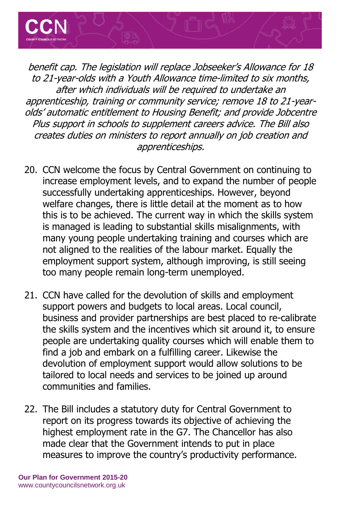

benefit cap. The legislation will replace Jobseeker's Allowance for 18 to 21-year-olds with a Youth Allowance time-limited to six months, after which individuals will be required to undertake an apprenticeship, training or community service; remove 18 to 21-yearolds' automatic entitlement to Housing Benefit; and provide Jobcentre Plus support in schools to supplement careers advice. The Bill also creates duties on ministers to report annually on job creation and apprenticeships.

- 20. CCN welcome the focus by Central Government on continuing to increase employment levels, and to expand the number of people successfully undertaking apprenticeships. However, beyond welfare changes, there is little detail at the moment as to how this is to be achieved. The current way in which the skills system is managed is leading to substantial skills misalignments, with many young people undertaking training and courses which are not aligned to the realities of the labour market. Equally the employment support system, although improving, is still seeing too many people remain long-term unemployed.
- 21. CCN have called for the devolution of skills and employment support powers and budgets to local areas. Local council, business and provider partnerships are best placed to re-calibrate the skills system and the incentives which sit around it, to ensure people are undertaking quality courses which will enable them to find a job and embark on a fulfilling career. Likewise the devolution of employment support would allow solutions to be tailored to local needs and services to be joined up around communities and families.
- 22. The Bill includes a statutory duty for Central Government to report on its progress towards its objective of achieving the highest employment rate in the G7. The Chancellor has also made clear that the Government intends to put in place measures to improve the country's productivity performance.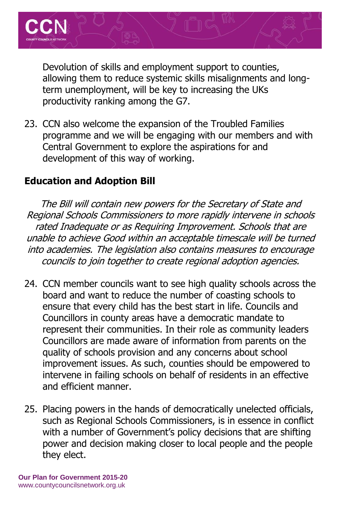

Devolution of skills and employment support to counties, allowing them to reduce systemic skills misalignments and longterm unemployment, will be key to increasing the UKs productivity ranking among the G7.

23. CCN also welcome the expansion of the Troubled Families programme and we will be engaging with our members and with Central Government to explore the aspirations for and development of this way of working.

#### **Education and Adoption Bill**

The Bill will contain new powers for the Secretary of State and Regional Schools Commissioners to more rapidly intervene in schools rated Inadequate or as Requiring Improvement. Schools that are unable to achieve Good within an acceptable timescale will be turned into academies. The legislation also contains measures to encourage councils to join together to create regional adoption agencies.

- 24. CCN member councils want to see high quality schools across the board and want to reduce the number of coasting schools to ensure that every child has the best start in life. Councils and Councillors in county areas have a democratic mandate to represent their communities. In their role as community leaders Councillors are made aware of information from parents on the quality of schools provision and any concerns about school improvement issues. As such, counties should be empowered to intervene in failing schools on behalf of residents in an effective and efficient manner.
- 25. Placing powers in the hands of democratically unelected officials, such as Regional Schools Commissioners, is in essence in conflict with a number of Government's policy decisions that are shifting power and decision making closer to local people and the people they elect.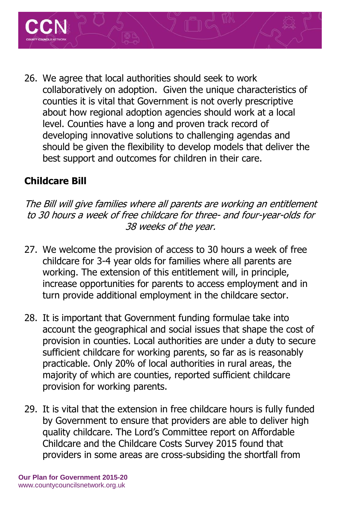

26. We agree that local authorities should seek to work collaboratively on adoption. Given the unique characteristics of counties it is vital that Government is not overly prescriptive about how regional adoption agencies should work at a local level. Counties have a long and proven track record of developing innovative solutions to challenging agendas and should be given the flexibility to develop models that deliver the best support and outcomes for children in their care.

# **Childcare Bill**

The Bill will give families where all parents are working an entitlement to 30 hours a week of free childcare for three- and four-year-olds for 38 weeks of the year.

- 27. We welcome the provision of access to 30 hours a week of free childcare for 3-4 year olds for families where all parents are working. The extension of this entitlement will, in principle, increase opportunities for parents to access employment and in turn provide additional employment in the childcare sector.
- 28. It is important that Government funding formulae take into account the geographical and social issues that shape the cost of provision in counties. Local authorities are under a duty to secure sufficient childcare for working parents, so far as is reasonably practicable. Only 20% of local authorities in rural areas, the majority of which are counties, reported sufficient childcare provision for working parents.
- 29. It is vital that the extension in free childcare hours is fully funded by Government to ensure that providers are able to deliver high quality childcare. The Lord's Committee report on Affordable Childcare and the Childcare Costs Survey 2015 found that providers in some areas are cross-subsiding the shortfall from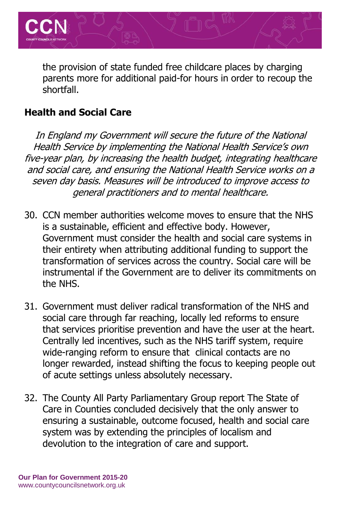

the provision of state funded free childcare places by charging parents more for additional paid-for hours in order to recoup the shortfall.

#### **Health and Social Care**

In England my Government will secure the future of the National Health Service by implementing the National Health Service's own five-year plan, by increasing the health budget, integrating healthcare and social care, and ensuring the National Health Service works on a seven day basis. Measures will be introduced to improve access to general practitioners and to mental healthcare.

- 30. CCN member authorities welcome moves to ensure that the NHS is a sustainable, efficient and effective body. However, Government must consider the health and social care systems in their entirety when attributing additional funding to support the transformation of services across the country. Social care will be instrumental if the Government are to deliver its commitments on the NHS.
- 31. Government must deliver radical transformation of the NHS and social care through far reaching, locally led reforms to ensure that services prioritise prevention and have the user at the heart. Centrally led incentives, such as the NHS tariff system, require wide-ranging reform to ensure that clinical contacts are no longer rewarded, instead shifting the focus to keeping people out of acute settings unless absolutely necessary.
- 32. The County All Party Parliamentary Group report The State of Care in Counties concluded decisively that the only answer to ensuring a sustainable, outcome focused, health and social care system was by extending the principles of localism and devolution to the integration of care and support.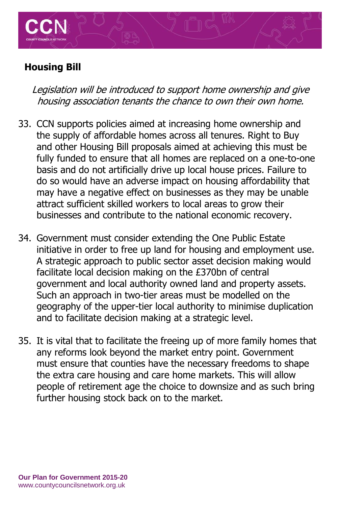

# **Housing Bill**

Legislation will be introduced to support home ownership and give housing association tenants the chance to own their own home.

- 33. CCN supports policies aimed at increasing home ownership and the supply of affordable homes across all tenures. Right to Buy and other Housing Bill proposals aimed at achieving this must be fully funded to ensure that all homes are replaced on a one-to-one basis and do not artificially drive up local house prices. Failure to do so would have an adverse impact on housing affordability that may have a negative effect on businesses as they may be unable attract sufficient skilled workers to local areas to grow their businesses and contribute to the national economic recovery.
- 34. Government must consider extending the One Public Estate initiative in order to free up land for housing and employment use. A strategic approach to public sector asset decision making would facilitate local decision making on the £370bn of central government and local authority owned land and property assets. Such an approach in two-tier areas must be modelled on the geography of the upper-tier local authority to minimise duplication and to facilitate decision making at a strategic level.
- 35. It is vital that to facilitate the freeing up of more family homes that any reforms look beyond the market entry point. Government must ensure that counties have the necessary freedoms to shape the extra care housing and care home markets. This will allow people of retirement age the choice to downsize and as such bring further housing stock back on to the market.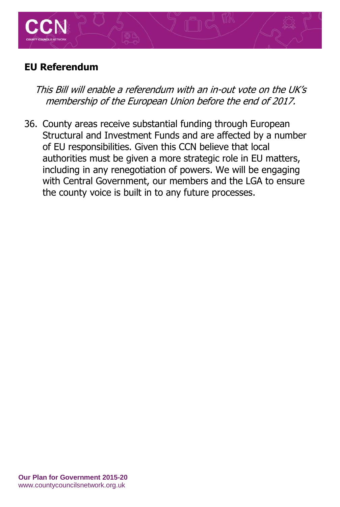

#### **EU Referendum**

This Bill will enable a referendum with an in-out vote on the UK's membership of the European Union before the end of 2017.

36. County areas receive substantial funding through European Structural and Investment Funds and are affected by a number of EU responsibilities. Given this CCN believe that local authorities must be given a more strategic role in EU matters, including in any renegotiation of powers. We will be engaging with Central Government, our members and the LGA to ensure the county voice is built in to any future processes.